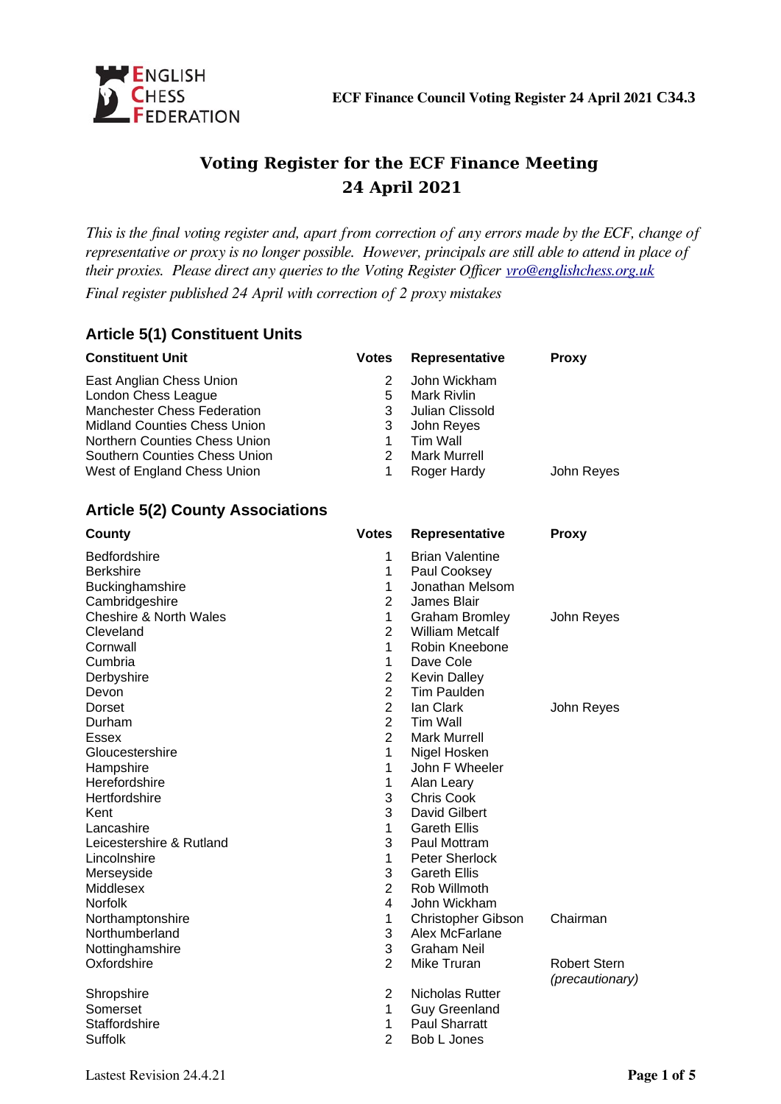

# **Voting Register for the ECF Finance Meeting 24 April 2021**

*This is the final voting register and, apart from correction of any errors made by the ECF, change of representative or proxy is no longer possible. However, principals are still able to attend in place of their proxies. Please direct any queries to the Voting Register Officer [vro@englishchess.org.uk](mailto:vro@englishchess.org.uk) Final register published 24 April with correction of 2 proxy mistakes*

## **Article 5(1) Constituent Units**

| <b>Constituent Unit</b>                                      | <b>Votes</b>                   | Representative                     | <b>Proxy</b>        |
|--------------------------------------------------------------|--------------------------------|------------------------------------|---------------------|
| East Anglian Chess Union<br>London Chess League              | 2<br>5                         | John Wickham<br><b>Mark Rivlin</b> |                     |
| <b>Manchester Chess Federation</b>                           | 3                              | Julian Clissold                    |                     |
| <b>Midland Counties Chess Union</b>                          | 3                              | John Reyes                         |                     |
| Northern Counties Chess Union                                | $\mathbf{1}$<br>$\overline{2}$ | <b>Tim Wall</b>                    |                     |
| Southern Counties Chess Union<br>West of England Chess Union | $\mathbf{1}$                   | <b>Mark Murrell</b><br>Roger Hardy | John Reyes          |
|                                                              |                                |                                    |                     |
| <b>Article 5(2) County Associations</b>                      |                                |                                    |                     |
| County                                                       | <b>Votes</b>                   | Representative                     | <b>Proxy</b>        |
| Bedfordshire                                                 | $\mathbf{1}$                   | <b>Brian Valentine</b>             |                     |
| Berkshire                                                    | $\mathbf{1}$                   | Paul Cooksey                       |                     |
| Buckinghamshire                                              | 1                              | Jonathan Melsom                    |                     |
| Cambridgeshire                                               | $\overline{2}$                 | James Blair                        |                     |
| <b>Cheshire &amp; North Wales</b>                            | 1                              | <b>Graham Bromley</b>              | John Reyes          |
| Cleveland                                                    | $\overline{2}$                 | <b>William Metcalf</b>             |                     |
| Cornwall                                                     | $\mathbf{1}$                   | Robin Kneebone                     |                     |
| Cumbria                                                      | 1                              | Dave Cole                          |                     |
| Derbyshire                                                   | $\overline{c}$                 | <b>Kevin Dalley</b>                |                     |
| Devon                                                        | $\overline{c}$                 | Tim Paulden                        |                     |
| Dorset                                                       | $\overline{2}$                 | lan Clark                          | John Reyes          |
| Durham                                                       | $\overline{2}$                 | Tim Wall                           |                     |
| <b>Essex</b>                                                 | $\overline{2}$                 | <b>Mark Murrell</b>                |                     |
| Gloucestershire                                              | $\mathbf{1}$                   | Nigel Hosken                       |                     |
| Hampshire                                                    | 1                              | John F Wheeler                     |                     |
| Herefordshire                                                | $\mathbf 1$                    | Alan Leary                         |                     |
| Hertfordshire                                                | 3                              | Chris Cook                         |                     |
| Kent                                                         | 3                              | David Gilbert                      |                     |
| Lancashire                                                   | 1                              | <b>Gareth Ellis</b>                |                     |
| Leicestershire & Rutland                                     | 3                              | Paul Mottram                       |                     |
| Lincolnshire                                                 | 1                              | Peter Sherlock                     |                     |
| Merseyside                                                   | 3                              | <b>Gareth Ellis</b>                |                     |
| Middlesex                                                    | $\overline{2}$                 | Rob Willmoth                       |                     |
| <b>Norfolk</b>                                               | 4                              | John Wickham                       |                     |
| Northamptonshire                                             | 1                              | Christopher Gibson                 | Chairman            |
| Northumberland                                               | 3                              | Alex McFarlane                     |                     |
| Nottinghamshire                                              | 3                              | <b>Graham Neil</b>                 |                     |
| Oxfordshire                                                  | 2                              | Mike Truran                        |                     |
|                                                              |                                |                                    | <b>Robert Stern</b> |
|                                                              |                                | Nicholas Rutter                    | (precautionary)     |
| Shropshire                                                   | 2                              |                                    |                     |
| Somerset                                                     | 1                              | <b>Guy Greenland</b>               |                     |
| Staffordshire                                                | 1                              | <b>Paul Sharratt</b>               |                     |
| Suffolk                                                      | $\overline{2}$                 | Bob L Jones                        |                     |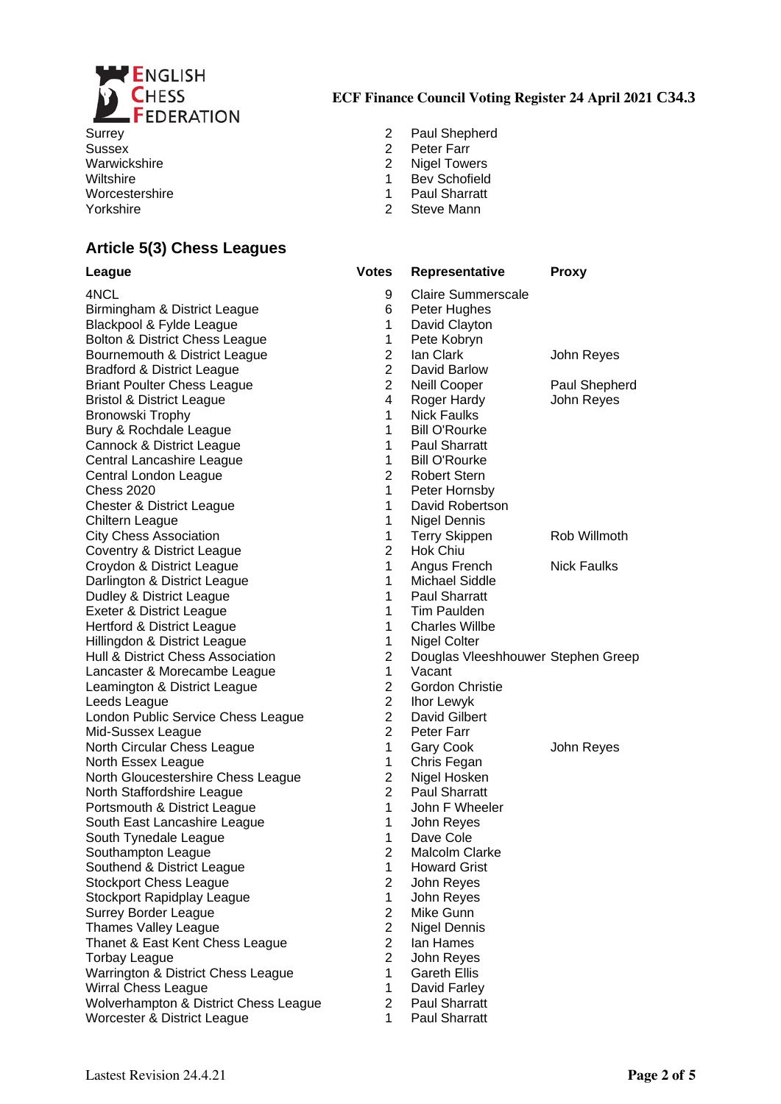

Sussex 2 Peter Farr Wiltshire 1 Bev Schofield<br>
Worcestershire 1 Bev Schofield<br>
1 Bev Schofield<br>
1 Baul Sharratt Worcestershire 1<br>
Yorkshire 1<br>
2 Yorkshire 2 Steve Mann

## **Article 5(3) Chess Leagues**

### **ECF Finance Council Voting Register 24 April 2021 C34.3**

- Surrey 2 Paul Shepherd
	-
- Warwickshire 2 Nigel Towers
	-
	-
	-

|                | Representative                     | <b>Proxy</b>       |
|----------------|------------------------------------|--------------------|
| 9              | <b>Claire Summerscale</b>          |                    |
| 6              | Peter Hughes                       |                    |
| 1              | David Clayton                      |                    |
| 1              | Pete Kobryn                        |                    |
| $\overline{c}$ | lan Clark                          | John Reyes         |
| $\overline{2}$ | David Barlow                       |                    |
| $\overline{2}$ | Neill Cooper                       | Paul Shepherd      |
| 4              | Roger Hardy                        | John Reyes         |
| $\mathbf{1}$   | <b>Nick Faulks</b>                 |                    |
| $\mathbf{1}$   | <b>Bill O'Rourke</b>               |                    |
| $\mathbf{1}$   | <b>Paul Sharratt</b>               |                    |
| $\mathbf{1}$   | <b>Bill O'Rourke</b>               |                    |
| 2              | <b>Robert Stern</b>                |                    |
| $\mathbf{1}$   | Peter Hornsby                      |                    |
| $\mathbf{1}$   | David Robertson                    |                    |
| 1              | Nigel Dennis                       |                    |
| $\mathbf{1}$   | <b>Terry Skippen</b>               | Rob Willmoth       |
| $\overline{2}$ | Hok Chiu                           |                    |
| $\mathbf{1}$   | Angus French                       | <b>Nick Faulks</b> |
| $\mathbf{1}$   | Michael Siddle                     |                    |
| $\mathbf{1}$   | <b>Paul Sharratt</b>               |                    |
| $\mathbf{1}$   | Tim Paulden                        |                    |
| $\mathbf{1}$   | <b>Charles Willbe</b>              |                    |
| 1              | Nigel Colter                       |                    |
| $\overline{2}$ | Douglas Vleeshhouwer Stephen Greep |                    |
| $\mathbf{1}$   | Vacant                             |                    |
| $\overline{2}$ | <b>Gordon Christie</b>             |                    |
| $\overline{c}$ | Ihor Lewyk                         |                    |
| $\overline{2}$ | David Gilbert                      |                    |
| $\overline{2}$ | Peter Farr                         |                    |
| 1              | <b>Gary Cook</b>                   | John Reyes         |
| $\mathbf{1}$   | Chris Fegan                        |                    |
| $\overline{c}$ | Nigel Hosken                       |                    |
| $\overline{2}$ | <b>Paul Sharratt</b>               |                    |
| $\mathbf{1}$   | John F Wheeler                     |                    |
| 1              | John Reyes                         |                    |
| $\mathbf{1}$   | Dave Cole                          |                    |
| $\overline{2}$ | Malcolm Clarke                     |                    |
| 1              | <b>Howard Grist</b>                |                    |
| $\overline{c}$ | John Reyes                         |                    |
| $\mathbf{1}$   | John Reyes                         |                    |
| $\overline{c}$ | Mike Gunn                          |                    |
| $\overline{c}$ | <b>Nigel Dennis</b>                |                    |
| $\overline{c}$ | Ian Hames                          |                    |
| $\overline{c}$ | John Reyes                         |                    |
| $\mathbf{1}$   | <b>Gareth Ellis</b>                |                    |
| $\mathbf{1}$   | David Farley                       |                    |
| $\overline{c}$ | <b>Paul Sharratt</b>               |                    |
| 1              | Paul Sharratt                      |                    |
|                |                                    |                    |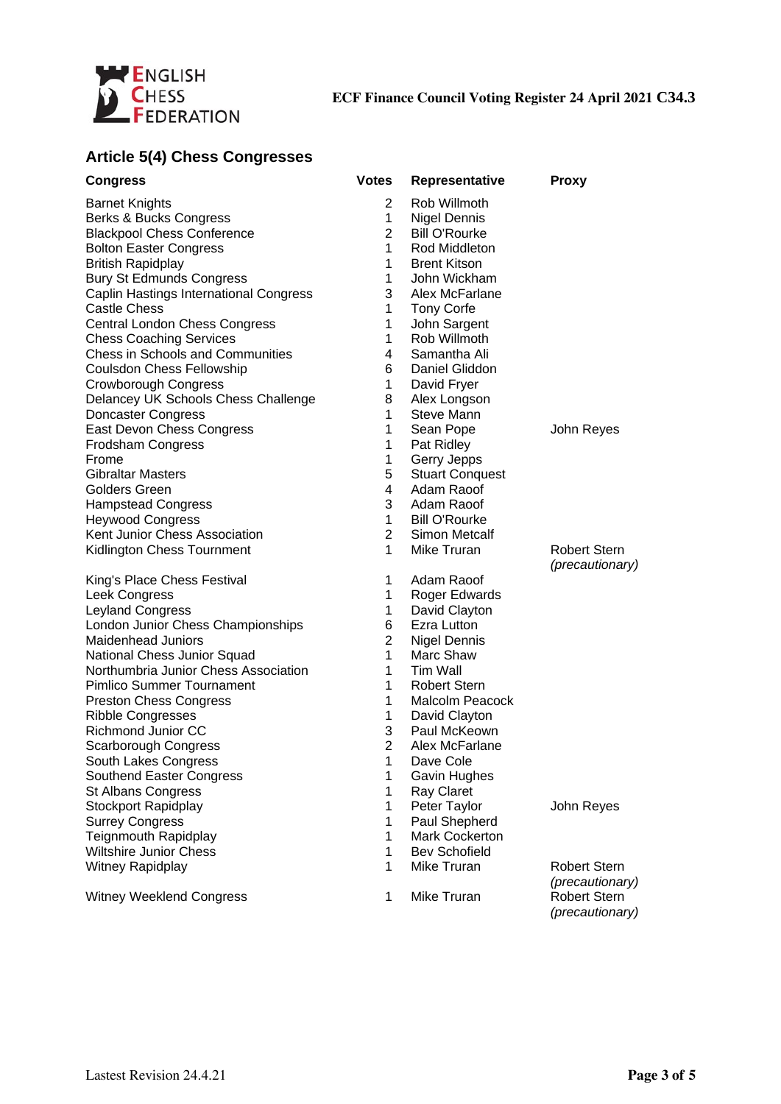

# **Article 5(4) Chess Congresses**

| <b>Congress</b>                         | <b>Votes</b>   | <b>Representative</b>  | <b>Proxy</b>                           |
|-----------------------------------------|----------------|------------------------|----------------------------------------|
| <b>Barnet Knights</b>                   | $\overline{c}$ | Rob Willmoth           |                                        |
| Berks & Bucks Congress                  | $\mathbf{1}$   | <b>Nigel Dennis</b>    |                                        |
| <b>Blackpool Chess Conference</b>       | $\overline{2}$ | <b>Bill O'Rourke</b>   |                                        |
| <b>Bolton Easter Congress</b>           | 1              | Rod Middleton          |                                        |
| <b>British Rapidplay</b>                | 1              | <b>Brent Kitson</b>    |                                        |
| <b>Bury St Edmunds Congress</b>         | 1              | John Wickham           |                                        |
| Caplin Hastings International Congress  | 3              | Alex McFarlane         |                                        |
| <b>Castle Chess</b>                     | 1              | <b>Tony Corfe</b>      |                                        |
| Central London Chess Congress           | $\mathbf 1$    | John Sargent           |                                        |
| <b>Chess Coaching Services</b>          | $\mathbf{1}$   | Rob Willmoth           |                                        |
| <b>Chess in Schools and Communities</b> | 4              | Samantha Ali           |                                        |
| Coulsdon Chess Fellowship               | 6              | Daniel Gliddon         |                                        |
| Crowborough Congress                    | $\mathbf{1}$   | David Fryer            |                                        |
| Delancey UK Schools Chess Challenge     | 8              | Alex Longson           |                                        |
| Doncaster Congress                      | $\mathbf 1$    | <b>Steve Mann</b>      |                                        |
| East Devon Chess Congress               | 1              | Sean Pope              | John Reyes                             |
| Frodsham Congress                       | 1              | Pat Ridley             |                                        |
| Frome                                   | 1              | Gerry Jepps            |                                        |
| <b>Gibraltar Masters</b>                | 5              | <b>Stuart Conquest</b> |                                        |
| <b>Golders Green</b>                    | 4              | Adam Raoof             |                                        |
| <b>Hampstead Congress</b>               | 3              | Adam Raoof             |                                        |
| <b>Heywood Congress</b>                 | 1              | <b>Bill O'Rourke</b>   |                                        |
| Kent Junior Chess Association           | 2              | Simon Metcalf          |                                        |
| Kidlington Chess Tournment              | $\mathbf{1}$   | Mike Truran            | <b>Robert Stern</b>                    |
|                                         |                |                        | (precautionary)                        |
| King's Place Chess Festival             | $\mathbf{1}$   | Adam Raoof             |                                        |
| Leek Congress                           | 1              | Roger Edwards          |                                        |
| <b>Leyland Congress</b>                 | $\mathbf{1}$   | David Clayton          |                                        |
| London Junior Chess Championships       | 6              | Ezra Lutton            |                                        |
| <b>Maidenhead Juniors</b>               | $\overline{c}$ | <b>Nigel Dennis</b>    |                                        |
| National Chess Junior Squad             | $\mathbf 1$    | Marc Shaw              |                                        |
| Northumbria Junior Chess Association    | 1              | Tim Wall               |                                        |
| Pimlico Summer Tournament               | $\mathbf{1}$   | <b>Robert Stern</b>    |                                        |
| <b>Preston Chess Congress</b>           | 1              | Malcolm Peacock        |                                        |
| <b>Ribble Congresses</b>                | 1              | David Clayton          |                                        |
| Richmond Junior CC                      | 3              | Paul McKeown           |                                        |
| Scarborough Congress                    | $\overline{2}$ | Alex McFarlane         |                                        |
| South Lakes Congress                    | 1              | Dave Cole              |                                        |
| Southend Easter Congress                | 1              | Gavin Hughes           |                                        |
| <b>St Albans Congress</b>               | 1              | Ray Claret             |                                        |
| <b>Stockport Rapidplay</b>              | 1              | Peter Taylor           | John Reyes                             |
| <b>Surrey Congress</b>                  | $\mathbf{1}$   | Paul Shepherd          |                                        |
| Teignmouth Rapidplay                    | 1              | Mark Cockerton         |                                        |
| Wiltshire Junior Chess                  | $\mathbf 1$    | <b>Bev Schofield</b>   |                                        |
| Witney Rapidplay                        | $\mathbf{1}$   | Mike Truran            | <b>Robert Stern</b>                    |
|                                         |                |                        | (precautionary)                        |
| Witney Weeklend Congress                | $\mathbf{1}$   | Mike Truran            | <b>Robert Stern</b><br>(precautionary) |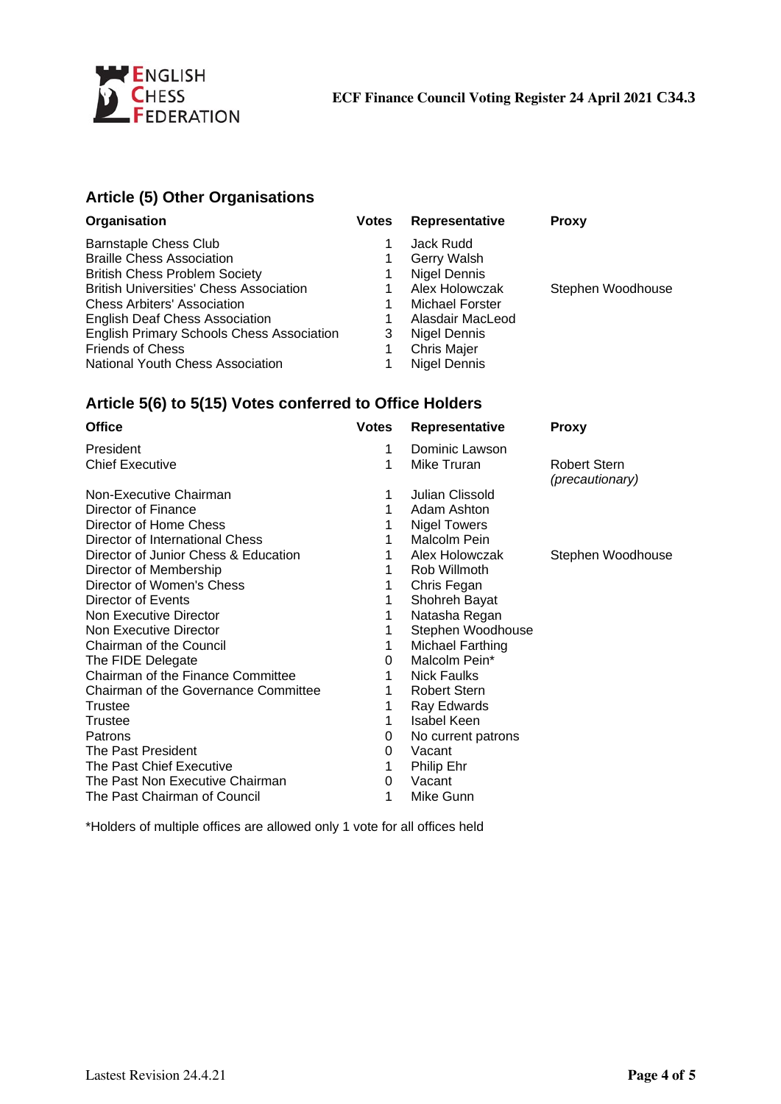

# **Article (5) Other Organisations**

| Organisation                                     | <b>Votes</b> | Representative     | <b>Proxy</b>      |
|--------------------------------------------------|--------------|--------------------|-------------------|
| Barnstaple Chess Club                            |              | Jack Rudd          |                   |
| <b>Braille Chess Association</b>                 |              | <b>Gerry Walsh</b> |                   |
| <b>British Chess Problem Society</b>             |              | Nigel Dennis       |                   |
| <b>British Universities' Chess Association</b>   |              | Alex Holowczak     | Stephen Woodhouse |
| <b>Chess Arbiters' Association</b>               |              | Michael Forster    |                   |
| <b>English Deaf Chess Association</b>            |              | Alasdair MacLeod   |                   |
| <b>English Primary Schools Chess Association</b> | 3            | Nigel Dennis       |                   |
| <b>Friends of Chess</b>                          |              | Chris Majer        |                   |
| National Youth Chess Association                 |              | Nigel Dennis       |                   |

## **Article 5(6) to 5(15) Votes conferred to Office Holders**

| <b>Votes</b> | <b>Representative</b> | Proxy                                         |
|--------------|-----------------------|-----------------------------------------------|
| 1            | Dominic Lawson        |                                               |
| 1            | Mike Truran           | <b>Robert Stern</b><br><i>(precautionary)</i> |
| 1            | Julian Clissold       |                                               |
| 1            | Adam Ashton           |                                               |
| 1            | <b>Nigel Towers</b>   |                                               |
| 1            | Malcolm Pein          |                                               |
| 1            | Alex Holowczak        | Stephen Woodhouse                             |
| 1            | Rob Willmoth          |                                               |
| 1            | Chris Fegan           |                                               |
| 1            | Shohreh Bayat         |                                               |
| 1            | Natasha Regan         |                                               |
| 1            | Stephen Woodhouse     |                                               |
| 1            | Michael Farthing      |                                               |
| 0            | Malcolm Pein*         |                                               |
| 1            | <b>Nick Faulks</b>    |                                               |
| 1            | <b>Robert Stern</b>   |                                               |
| 1            | Ray Edwards           |                                               |
| 1            | <b>Isabel Keen</b>    |                                               |
| 0            | No current patrons    |                                               |
| 0            | Vacant                |                                               |
| 1            | Philip Ehr            |                                               |
| 0            | Vacant                |                                               |
| 1            | Mike Gunn             |                                               |
|              |                       |                                               |

\*Holders of multiple offices are allowed only 1 vote for all offices held